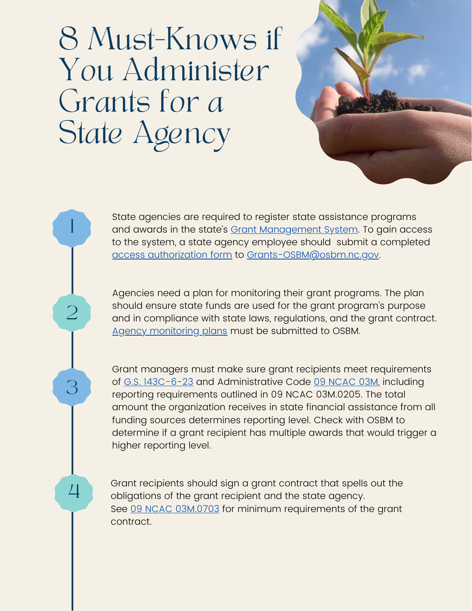## 8 Must-Knows if You Administer Grants for a State Agency

1

2

3

4



Agencies need a plan for monitoring their grant programs. The plan should ensure state funds are used for the grant program's purpose and in compliance with state laws, regulations, and the grant contract. Agency [monitoring](https://www.osbm.nc.gov/media/2620/open) plans must be submitted to OSBM.

Grant managers must make sure grant recipients meet requirements of G.S. [143C-6-23](https://www.ncleg.net/enactedlegislation/statutes/html/bysection/chapter_143c/gs_143c-6-23.html) and Administrative Code 09 [NCAC](http://reports.oah.state.nc.us/ncac/title%2009%20-%20governor%20and%20lt.%20governor/chapter%2003%20-%20state%20budget%20and%20management/subchapter%203m/subchapter%203m%20rules.html) 03M, including reporting requirements outlined in 09 NCAC [03M.0205.](http://reports.oah.state.nc.us/ncac/title%2009%20-%20governor%20and%20lt.%20governor/chapter%2003%20-%20state%20budget%20and%20management/subchapter%20m/09%20ncac%2003m%20.0205.pdf) The total amount the organization receives in state financial assistance from all funding sources determines reporting level. Check with OSBM to determine if a grant recipient has multiple awards that would trigger a higher reporting level.

Grant recipients should sign a grant contract that spells out the obligations of the grant recipient and the state agency. See 09 NCAC [03M.0703](http://reports.oah.state.nc.us/ncac/title%2009%20-%20governor%20and%20lt.%20governor/chapter%2003%20-%20state%20budget%20and%20management/subchapter%203m/subchapter%203m%20rules.html) for minimum requirements of the grant contract.